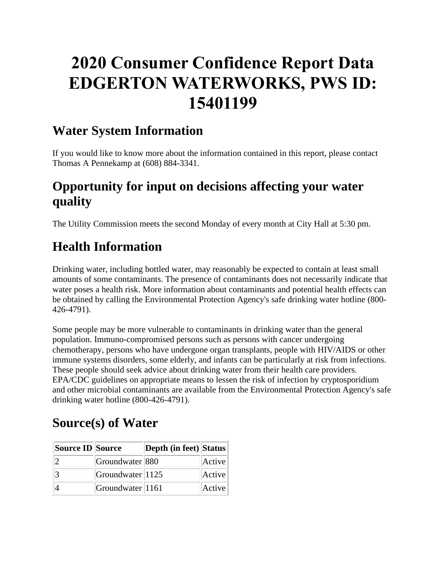# **2020 Consumer Confidence Report Data EDGERTON WATERWORKS, PWS ID: 15401199**

### **Water System Information**

If you would like to know more about the information contained in this report, please contact Thomas A Pennekamp at (608) 884-3341.

## **Opportunity for input on decisions affecting your water quality**

The Utility Commission meets the second Monday of every month at City Hall at 5:30 pm.

# **Health Information**

Drinking water, including bottled water, may reasonably be expected to contain at least small amounts of some contaminants. The presence of contaminants does not necessarily indicate that water poses a health risk. More information about contaminants and potential health effects can be obtained by calling the Environmental Protection Agency's safe drinking water hotline (800- 426-4791).

Some people may be more vulnerable to contaminants in drinking water than the general population. Immuno-compromised persons such as persons with cancer undergoing chemotherapy, persons who have undergone organ transplants, people with HIV/AIDS or other immune systems disorders, some elderly, and infants can be particularly at risk from infections. These people should seek advice about drinking water from their health care providers. EPA/CDC guidelines on appropriate means to lessen the risk of infection by cryptosporidium and other microbial contaminants are available from the Environmental Protection Agency's safe drinking water hotline (800-426-4791).

# **Source(s) of Water**

| Source ID Source |                         | Depth (in feet) Status |        |
|------------------|-------------------------|------------------------|--------|
|                  | Groundwater 880         |                        | Active |
|                  | $ G$ roundwater $ 1125$ |                        | Active |
|                  | $ G$ roundwater $ 1161$ |                        | Active |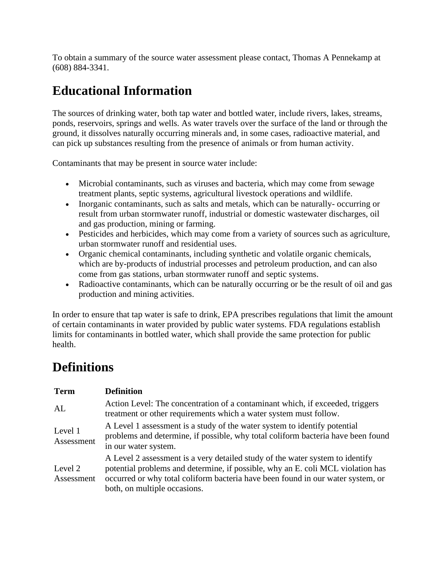To obtain a summary of the source water assessment please contact, Thomas A Pennekamp at (608) 884-3341.

# **Educational Information**

The sources of drinking water, both tap water and bottled water, include rivers, lakes, streams, ponds, reservoirs, springs and wells. As water travels over the surface of the land or through the ground, it dissolves naturally occurring minerals and, in some cases, radioactive material, and can pick up substances resulting from the presence of animals or from human activity.

Contaminants that may be present in source water include:

- Microbial contaminants, such as viruses and bacteria, which may come from sewage treatment plants, septic systems, agricultural livestock operations and wildlife.
- Inorganic contaminants, such as salts and metals, which can be naturally- occurring or result from urban stormwater runoff, industrial or domestic wastewater discharges, oil and gas production, mining or farming.
- Pesticides and herbicides, which may come from a variety of sources such as agriculture, urban stormwater runoff and residential uses.
- Organic chemical contaminants, including synthetic and volatile organic chemicals, which are by-products of industrial processes and petroleum production, and can also come from gas stations, urban stormwater runoff and septic systems.
- Radioactive contaminants, which can be naturally occurring or be the result of oil and gas production and mining activities.

In order to ensure that tap water is safe to drink, EPA prescribes regulations that limit the amount of certain contaminants in water provided by public water systems. FDA regulations establish limits for contaminants in bottled water, which shall provide the same protection for public health.

### **Definitions**

| <b>Term</b>           | <b>Definition</b>                                                                                                                                                                                                                                                                   |
|-----------------------|-------------------------------------------------------------------------------------------------------------------------------------------------------------------------------------------------------------------------------------------------------------------------------------|
| AL                    | Action Level: The concentration of a contaminant which, if exceeded, triggers<br>treatment or other requirements which a water system must follow.                                                                                                                                  |
| Level 1<br>Assessment | A Level 1 assessment is a study of the water system to identify potential<br>problems and determine, if possible, why total coliform bacteria have been found<br>in our water system.                                                                                               |
| Level 2<br>Assessment | A Level 2 assessment is a very detailed study of the water system to identify<br>potential problems and determine, if possible, why an E. coli MCL violation has<br>occurred or why total coliform bacteria have been found in our water system, or<br>both, on multiple occasions. |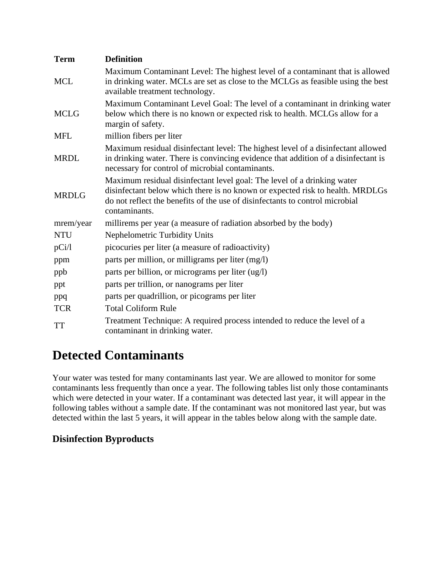| <b>Term</b>  | <b>Definition</b>                                                                                                                                                                                                                                         |  |  |  |  |  |  |  |
|--------------|-----------------------------------------------------------------------------------------------------------------------------------------------------------------------------------------------------------------------------------------------------------|--|--|--|--|--|--|--|
| <b>MCL</b>   | Maximum Contaminant Level: The highest level of a contaminant that is allowed<br>in drinking water. MCLs are set as close to the MCLGs as feasible using the best<br>available treatment technology.                                                      |  |  |  |  |  |  |  |
| <b>MCLG</b>  | Maximum Contaminant Level Goal: The level of a contaminant in drinking water<br>below which there is no known or expected risk to health. MCLGs allow for a<br>margin of safety.                                                                          |  |  |  |  |  |  |  |
| <b>MFL</b>   | million fibers per liter                                                                                                                                                                                                                                  |  |  |  |  |  |  |  |
| <b>MRDL</b>  | Maximum residual disinfectant level: The highest level of a disinfectant allowed<br>in drinking water. There is convincing evidence that addition of a disinfectant is<br>necessary for control of microbial contaminants.                                |  |  |  |  |  |  |  |
| <b>MRDLG</b> | Maximum residual disinfectant level goal: The level of a drinking water<br>disinfectant below which there is no known or expected risk to health. MRDLGs<br>do not reflect the benefits of the use of disinfectants to control microbial<br>contaminants. |  |  |  |  |  |  |  |
| mrem/year    | millirems per year (a measure of radiation absorbed by the body)                                                                                                                                                                                          |  |  |  |  |  |  |  |
| <b>NTU</b>   | Nephelometric Turbidity Units                                                                                                                                                                                                                             |  |  |  |  |  |  |  |
| pCi/1        | picocuries per liter (a measure of radioactivity)                                                                                                                                                                                                         |  |  |  |  |  |  |  |
| ppm          | parts per million, or milligrams per liter (mg/l)                                                                                                                                                                                                         |  |  |  |  |  |  |  |
| ppb          | parts per billion, or micrograms per liter (ug/l)                                                                                                                                                                                                         |  |  |  |  |  |  |  |
| ppt          | parts per trillion, or nanograms per liter                                                                                                                                                                                                                |  |  |  |  |  |  |  |
| ppq          | parts per quadrillion, or picograms per liter                                                                                                                                                                                                             |  |  |  |  |  |  |  |
| <b>TCR</b>   | <b>Total Coliform Rule</b>                                                                                                                                                                                                                                |  |  |  |  |  |  |  |
| <b>TT</b>    | Treatment Technique: A required process intended to reduce the level of a<br>contaminant in drinking water.                                                                                                                                               |  |  |  |  |  |  |  |

## **Detected Contaminants**

Your water was tested for many contaminants last year. We are allowed to monitor for some contaminants less frequently than once a year. The following tables list only those contaminants which were detected in your water. If a contaminant was detected last year, it will appear in the following tables without a sample date. If the contaminant was not monitored last year, but was detected within the last 5 years, it will appear in the tables below along with the sample date.

#### **Disinfection Byproducts**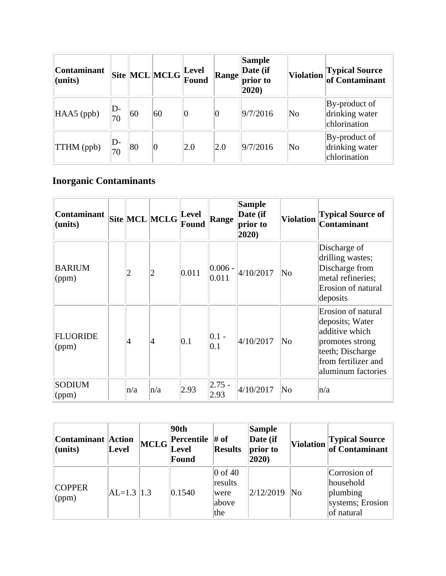| <b>Contaminant</b><br>$l$ (units) |          |    | Site MCL MCLG Eevel |     | <b>Range</b> | <b>Sample</b><br>Date (if<br>prior to<br>2020) |                        | Violation Typical Source                        |
|-----------------------------------|----------|----|---------------------|-----|--------------|------------------------------------------------|------------------------|-------------------------------------------------|
| $HAAS$ (ppb)                      | D-<br>70 | 60 | 60                  |     | U            | 9/7/2016                                       | $\overline{\text{No}}$ | By-product of<br>drinking water<br>chlorination |
| <b>TTHM</b> (ppb)                 | D-<br>70 | 80 | $\hspace{.08cm}0$   | 2.0 | 2.0          | 9/7/2016                                       | No                     | By-product of<br>drinking water<br>chlorination |

### **Inorganic Contaminants**

| Contaminant<br>(units)   |                | Site MCL MCLG | Level<br>Found | Range               | <b>Sample</b><br>Date (if<br>prior to<br>2020) | <b>Violation</b>       | <b>Typical Source of</b><br><b>Contaminant</b>                                                                                              |
|--------------------------|----------------|---------------|----------------|---------------------|------------------------------------------------|------------------------|---------------------------------------------------------------------------------------------------------------------------------------------|
| <b>BARIUM</b><br>(ppm)   | $\overline{c}$ | 2             | 0.011          | $ 0.006 -$<br>0.011 | 4/10/2017                                      | $\overline{\text{No}}$ | Discharge of<br>drilling wastes;<br>Discharge from<br>metal refineries;<br>Erosion of natural<br>deposits                                   |
| <b>FLUORIDE</b><br>(ppm) | 4              | 4             | 0.1            | $ 0.1 -$<br>0.1     | 4/10/2017                                      | $\overline{\text{No}}$ | Erosion of natural<br>deposits; Water<br>additive which<br>promotes strong<br>teeth; Discharge<br>from fertilizer and<br>aluminum factories |
| <b>SODIUM</b><br>(ppm)   | n/a            | n/a           | 2.93           | $ 2.75 -$<br>2.93   | 4/10/2017                                      | $\overline{\text{No}}$ | n/a                                                                                                                                         |

| Contaminant Action<br>$l$ (units) | Level         | <b>MCLG</b> | 90th<br><b>Percentile</b> $\#$ of<br><b>Level</b><br>Found | <b>Results</b>                                     | Sample<br>Date (if<br>prior to<br>2020) | <b>Violation</b> | Typical Source<br>of Contaminant                                        |
|-----------------------------------|---------------|-------------|------------------------------------------------------------|----------------------------------------------------|-----------------------------------------|------------------|-------------------------------------------------------------------------|
| <b>COPPER</b><br>$\gamma$ (ppm)   | $ AL=1.3 1.3$ |             | 0.1540                                                     | $\vert 0$ of 40<br>results<br>were<br>above<br>the | 2/12/2019                               | No               | Corrosion of<br>household<br>plumbing<br>systems; Erosion<br>of natural |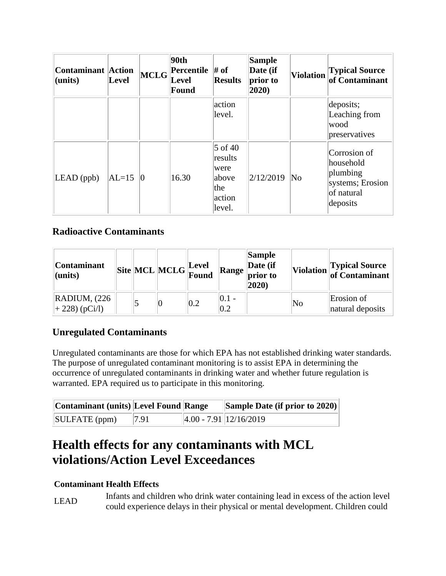| <b>Contaminant Action</b><br>(units) | Level   | <b>MCLG</b> | 90th<br><b>Percentile</b><br>Level<br>Found | $\#$ of<br><b>Results</b>                                        | Sample<br>Date (if<br>prior to<br>2020) | <b>Violation</b>       | <b>Typical Source</b><br>of Contaminant                                             |
|--------------------------------------|---------|-------------|---------------------------------------------|------------------------------------------------------------------|-----------------------------------------|------------------------|-------------------------------------------------------------------------------------|
|                                      |         |             |                                             | action<br>level.                                                 |                                         |                        | deposits;<br>Leaching from<br>wood<br>preservatives                                 |
| $LEAD$ (ppb)                         | $AL=15$ | Ю           | 16.30                                       | $5$ of 40<br>results<br>were<br>above<br>the<br>action<br>level. | 2/12/2019                               | $\overline{\text{No}}$ | Corrosion of<br>household<br>plumbing<br>systems; Erosion<br>of natural<br>deposits |

#### **Radioactive Contaminants**

| <b>Contaminant</b><br>$l$ (units)               |  | $\boxed{\text{Site}}\boxed{\text{MCL}}\boxed{\text{MCLG}}\frac{\text{Level}}{\text{Found}}$ |     |                           | Sample<br>Date (if<br>$\mathbf{A}$ Range prior to<br>$ 2020\rangle$ |                        | Violation Typical Source       |
|-------------------------------------------------|--|---------------------------------------------------------------------------------------------|-----|---------------------------|---------------------------------------------------------------------|------------------------|--------------------------------|
| $\mathbb{R}$ ADIUM, $(226)$<br>$ +228)$ (pCi/l) |  |                                                                                             | 0.2 | $ 0.1$ -<br>$ 0.2\rangle$ |                                                                     | $\overline{\text{No}}$ | Erosion of<br>natural deposits |

#### **Unregulated Contaminants**

Unregulated contaminants are those for which EPA has not established drinking water standards. The purpose of unregulated contaminant monitoring is to assist EPA in determining the occurrence of unregulated contaminants in drinking water and whether future regulation is warranted. EPA required us to participate in this monitoring.

| Contaminant (units) Level Found Range |      | <b>Sample Date (if prior to 2020)</b> |
|---------------------------------------|------|---------------------------------------|
| SULFATE (ppm)                         | 7.91 | $\left 4.00 - 7.91\right 12/16/2019$  |

### **Health effects for any contaminants with MCL violations/Action Level Exceedances**

#### **Contaminant Health Effects**

LEAD Infants and children who drink water containing lead in excess of the action level could experience delays in their physical or mental development. Children could